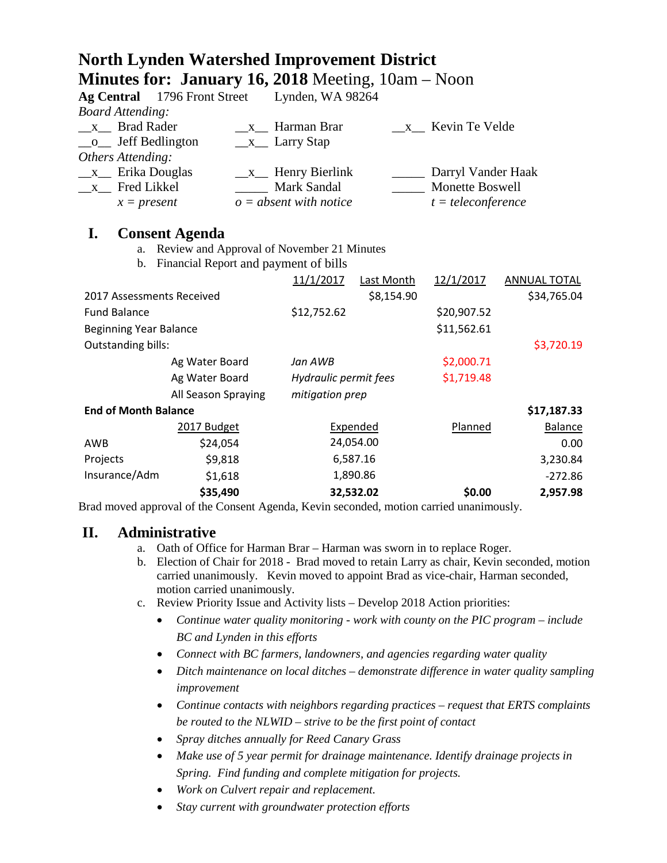|                                                   | <b>Minutes for: January 16, 2018</b> Meeting, $10am - Noon$ |                            |                       |                    |                |
|---------------------------------------------------|-------------------------------------------------------------|----------------------------|-----------------------|--------------------|----------------|
| <b>Ag Central</b>                                 | 1796 Front Street                                           | Lynden, WA 98264           |                       |                    |                |
| <b>Board Attending:</b>                           |                                                             |                            |                       |                    |                |
| <b>Brad Rader</b><br>$\mathbf{X}$<br>$\mathbf{X}$ |                                                             | Harman Brar                | x Kevin Te Velde      |                    |                |
| Jeff Bedlington<br>$\Omega$                       |                                                             | $\_\_x\_\_$ Larry Stap     |                       |                    |                |
| Others Attending:                                 |                                                             |                            |                       |                    |                |
| Erika Douglas<br>$X_{-}$                          |                                                             | $\_\_x\_\_$ Henry Bierlink |                       | Darryl Vander Haak |                |
| Fred Likkel<br>$\mathbf X$                        |                                                             | Mark Sandal                | Monette Boswell       |                    |                |
| $x = present$                                     |                                                             | $o = absent$ with notice   | $t = teleconference$  |                    |                |
| I.                                                | <b>Consent Agenda</b>                                       |                            |                       |                    |                |
| a.                                                | Review and Approval of November 21 Minutes                  |                            |                       |                    |                |
| Financial Report and payment of bills<br>b.       |                                                             |                            |                       |                    |                |
|                                                   |                                                             | 11/1/2017                  | Last Month            | 12/1/2017          | ANNUAL TOTAL   |
| 2017 Assessments Received                         |                                                             |                            | \$8,154.90            |                    | \$34,765.04    |
| <b>Fund Balance</b>                               |                                                             | \$12,752.62                |                       | \$20,907.52        |                |
| <b>Beginning Year Balance</b>                     |                                                             |                            |                       | \$11,562.61        |                |
| <b>Outstanding bills:</b>                         |                                                             |                            |                       |                    | \$3,720.19     |
| Ag Water Board                                    |                                                             | Jan AWB                    |                       | \$2,000.71         |                |
|                                                   |                                                             |                            | Hydraulic permit fees |                    |                |
| Ag Water Board                                    |                                                             |                            | mitigation prep       |                    |                |
|                                                   | All Season Spraying                                         |                            |                       |                    |                |
| <b>End of Month Balance</b>                       |                                                             |                            |                       |                    | \$17,187.33    |
|                                                   | 2017 Budget                                                 | Expended                   |                       | Planned            | <b>Balance</b> |
| <b>AWB</b>                                        | \$24,054                                                    | 24,054.00                  |                       |                    | 0.00           |
| Projects                                          | \$9,818                                                     | 6,587.16                   |                       |                    | 3,230.84       |
| Insurance/Adm                                     | \$1,618                                                     | 1,890.86                   |                       |                    | $-272.86$      |
|                                                   | \$35,490                                                    | 32,532.02                  |                       | \$0.00             | 2,957.98       |

**North Lynden Watershed Improvement District**

Brad moved approval of the Consent Agenda, Kevin seconded, motion carried unanimously.

#### **II. Administrative**

- a. Oath of Office for Harman Brar Harman was sworn in to replace Roger.
- b. Election of Chair for 2018 Brad moved to retain Larry as chair, Kevin seconded, motion carried unanimously. Kevin moved to appoint Brad as vice-chair, Harman seconded, motion carried unanimously.
- c. Review Priority Issue and Activity lists Develop 2018 Action priorities:
	- *Continue water quality monitoring - work with county on the PIC program – include BC and Lynden in this efforts*
	- *Connect with BC farmers, landowners, and agencies regarding water quality*
	- *Ditch maintenance on local ditches – demonstrate difference in water quality sampling improvement*
	- *Continue contacts with neighbors regarding practices – request that ERTS complaints be routed to the NLWID – strive to be the first point of contact*
	- *Spray ditches annually for Reed Canary Grass*
	- *Make use of 5 year permit for drainage maintenance. Identify drainage projects in Spring. Find funding and complete mitigation for projects.*
	- *Work on Culvert repair and replacement.*
	- *Stay current with groundwater protection efforts*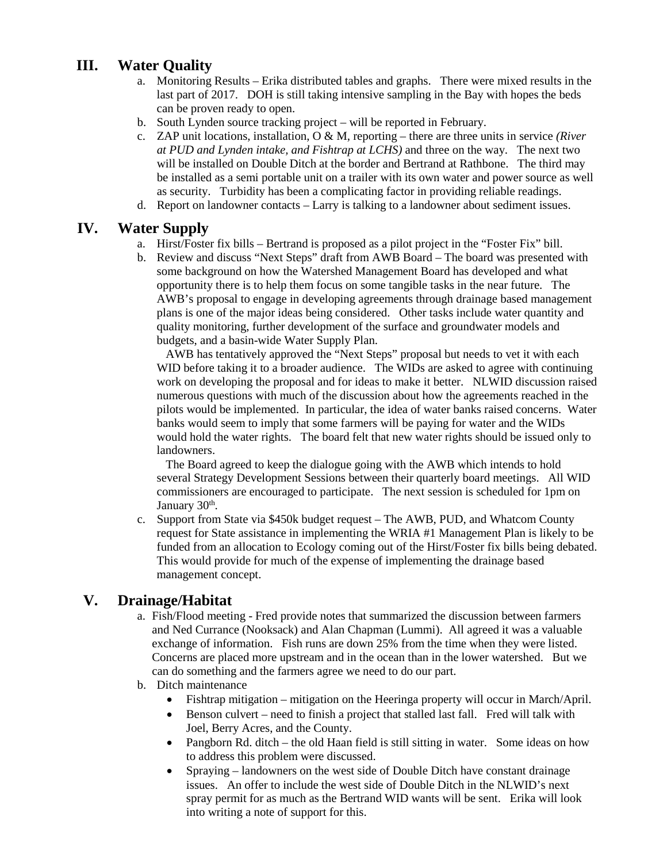# **III. Water Quality**

- a. Monitoring Results Erika distributed tables and graphs. There were mixed results in the last part of 2017. DOH is still taking intensive sampling in the Bay with hopes the beds can be proven ready to open.
- b. South Lynden source tracking project will be reported in February.
- c. ZAP unit locations, installation, O & M, reporting there are three units in service *(River at PUD and Lynden intake, and Fishtrap at LCHS)* and three on the way. The next two will be installed on Double Ditch at the border and Bertrand at Rathbone. The third may be installed as a semi portable unit on a trailer with its own water and power source as well as security. Turbidity has been a complicating factor in providing reliable readings.
- d. Report on landowner contacts Larry is talking to a landowner about sediment issues.

#### **IV. Water Supply**

- a. Hirst/Foster fix bills Bertrand is proposed as a pilot project in the "Foster Fix" bill.
- b. Review and discuss "Next Steps" draft from AWB Board The board was presented with some background on how the Watershed Management Board has developed and what opportunity there is to help them focus on some tangible tasks in the near future. The AWB's proposal to engage in developing agreements through drainage based management plans is one of the major ideas being considered. Other tasks include water quantity and quality monitoring, further development of the surface and groundwater models and budgets, and a basin-wide Water Supply Plan.

 AWB has tentatively approved the "Next Steps" proposal but needs to vet it with each WID before taking it to a broader audience. The WIDs are asked to agree with continuing work on developing the proposal and for ideas to make it better. NLWID discussion raised numerous questions with much of the discussion about how the agreements reached in the pilots would be implemented. In particular, the idea of water banks raised concerns. Water banks would seem to imply that some farmers will be paying for water and the WIDs would hold the water rights. The board felt that new water rights should be issued only to landowners.

 The Board agreed to keep the dialogue going with the AWB which intends to hold several Strategy Development Sessions between their quarterly board meetings. All WID commissioners are encouraged to participate. The next session is scheduled for 1pm on January 30<sup>th</sup>.

c. Support from State via \$450k budget request – The AWB, PUD, and Whatcom County request for State assistance in implementing the WRIA #1 Management Plan is likely to be funded from an allocation to Ecology coming out of the Hirst/Foster fix bills being debated. This would provide for much of the expense of implementing the drainage based management concept.

## **V. Drainage/Habitat**

- a. Fish/Flood meeting Fred provide notes that summarized the discussion between farmers and Ned Currance (Nooksack) and Alan Chapman (Lummi). All agreed it was a valuable exchange of information. Fish runs are down 25% from the time when they were listed. Concerns are placed more upstream and in the ocean than in the lower watershed. But we can do something and the farmers agree we need to do our part.
- b. Ditch maintenance
	- Fishtrap mitigation mitigation on the Heeringa property will occur in March/April.
	- Benson culvert need to finish a project that stalled last fall. Fred will talk with Joel, Berry Acres, and the County.
	- Pangborn Rd. ditch the old Haan field is still sitting in water. Some ideas on how to address this problem were discussed.
	- Spraying landowners on the west side of Double Ditch have constant drainage issues. An offer to include the west side of Double Ditch in the NLWID's next spray permit for as much as the Bertrand WID wants will be sent. Erika will look into writing a note of support for this.